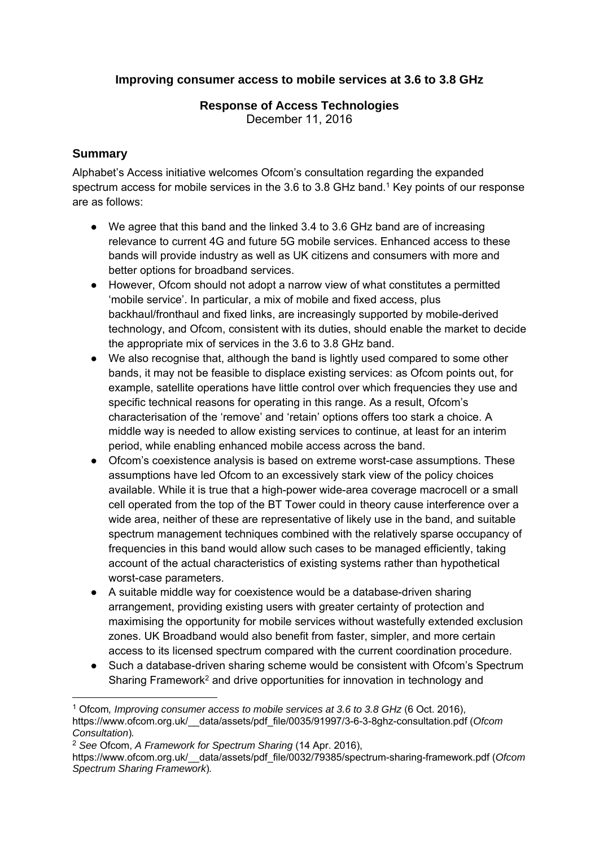## **Improving consumer access to mobile services at 3.6 to 3.8 GHz**

# **Response of Access Technologies**

December 11, 2016

## **Summary**

1

Alphabet's Access initiative welcomes Ofcom's consultation regarding the expanded spectrum access for mobile services in the 3.6 to 3.8 GHz band.<sup>1</sup> Key points of our response are as follows:

- We agree that this band and the linked 3.4 to 3.6 GHz band are of increasing relevance to current 4G and future 5G mobile services. Enhanced access to these bands will provide industry as well as UK citizens and consumers with more and better options for broadband services.
- However, Ofcom should not adopt a narrow view of what constitutes a permitted 'mobile service'. In particular, a mix of mobile and fixed access, plus backhaul/fronthaul and fixed links, are increasingly supported by mobile-derived technology, and Ofcom, consistent with its duties, should enable the market to decide the appropriate mix of services in the 3.6 to 3.8 GHz band.
- We also recognise that, although the band is lightly used compared to some other bands, it may not be feasible to displace existing services: as Ofcom points out, for example, satellite operations have little control over which frequencies they use and specific technical reasons for operating in this range. As a result, Ofcom's characterisation of the 'remove' and 'retain' options offers too stark a choice. A middle way is needed to allow existing services to continue, at least for an interim period, while enabling enhanced mobile access across the band.
- Ofcom's coexistence analysis is based on extreme worst-case assumptions. These assumptions have led Ofcom to an excessively stark view of the policy choices available. While it is true that a high-power wide-area coverage macrocell or a small cell operated from the top of the BT Tower could in theory cause interference over a wide area, neither of these are representative of likely use in the band, and suitable spectrum management techniques combined with the relatively sparse occupancy of frequencies in this band would allow such cases to be managed efficiently, taking account of the actual characteristics of existing systems rather than hypothetical worst-case parameters.
- A suitable middle way for coexistence would be a database-driven sharing arrangement, providing existing users with greater certainty of protection and maximising the opportunity for mobile services without wastefully extended exclusion zones. UK Broadband would also benefit from faster, simpler, and more certain access to its licensed spectrum compared with the current coordination procedure.
- Such a database-driven sharing scheme would be consistent with Ofcom's Spectrum Sharing Framework<sup>2</sup> and drive opportunities for innovation in technology and

<sup>1</sup> Ofcom*, Improving consumer access to mobile services at 3.6 to 3.8 GHz* (6 Oct. 2016), https://www.ofcom.org.uk/\_\_data/assets/pdf\_file/0035/91997/3-6-3-8ghz-consultation.pdf (*Ofcom Consultation*)*.*

<sup>2</sup> *See* Ofcom, *A Framework for Spectrum Sharing* (14 Apr. 2016),

https://www.ofcom.org.uk/\_\_data/assets/pdf\_file/0032/79385/spectrum-sharing-framework.pdf (*Ofcom Spectrum Sharing Framework*)*.*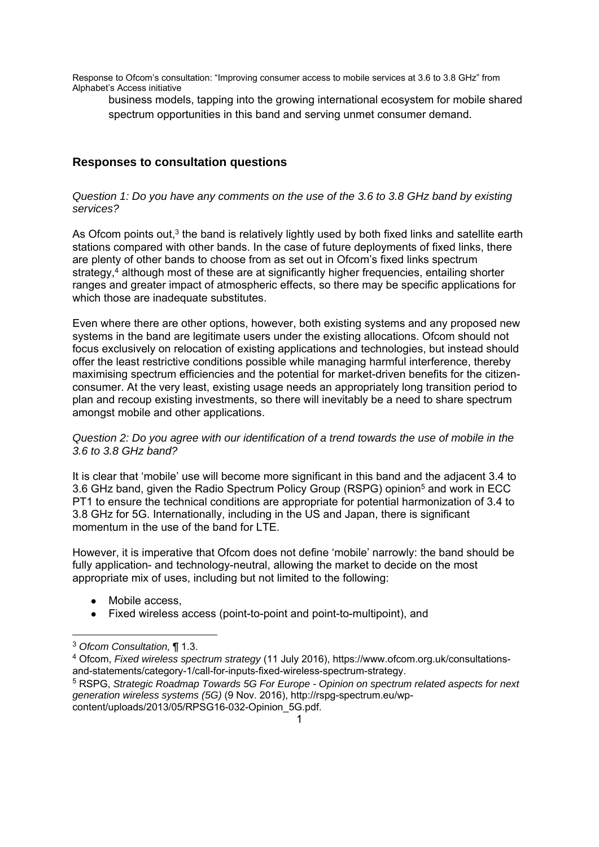business models, tapping into the growing international ecosystem for mobile shared spectrum opportunities in this band and serving unmet consumer demand.

### **Responses to consultation questions**

#### *Question 1: Do you have any comments on the use of the 3.6 to 3.8 GHz band by existing services?*

As Ofcom points out, $3$  the band is relatively lightly used by both fixed links and satellite earth stations compared with other bands. In the case of future deployments of fixed links, there are plenty of other bands to choose from as set out in Ofcom's fixed links spectrum strategy, $4$  although most of these are at significantly higher frequencies, entailing shorter ranges and greater impact of atmospheric effects, so there may be specific applications for which those are inadequate substitutes.

Even where there are other options, however, both existing systems and any proposed new systems in the band are legitimate users under the existing allocations. Ofcom should not focus exclusively on relocation of existing applications and technologies, but instead should offer the least restrictive conditions possible while managing harmful interference, thereby maximising spectrum efficiencies and the potential for market-driven benefits for the citizenconsumer. At the very least, existing usage needs an appropriately long transition period to plan and recoup existing investments, so there will inevitably be a need to share spectrum amongst mobile and other applications.

#### *Question 2: Do you agree with our identification of a trend towards the use of mobile in the 3.6 to 3.8 GHz band?*

It is clear that 'mobile' use will become more significant in this band and the adjacent 3.4 to 3.6 GHz band, given the Radio Spectrum Policy Group (RSPG) opinion5 and work in ECC PT1 to ensure the technical conditions are appropriate for potential harmonization of 3.4 to 3.8 GHz for 5G. Internationally, including in the US and Japan, there is significant momentum in the use of the band for LTE.

However, it is imperative that Ofcom does not define 'mobile' narrowly: the band should be fully application- and technology-neutral, allowing the market to decide on the most appropriate mix of uses, including but not limited to the following:

- Mobile access.
- Fixed wireless access (point-to-point and point-to-multipoint), and

 $\overline{a}$ 

<sup>3</sup> *Ofcom Consultation,* ¶ 1.3.

<sup>4</sup> Ofcom, *Fixed wireless spectrum strategy* (11 July 2016), https://www.ofcom.org.uk/consultationsand-statements/category-1/call-for-inputs-fixed-wireless-spectrum-strategy. 5 RSPG, *Strategic Roadmap Towards 5G For Europe - Opinion on spectrum related aspects for next generation wireless systems (5G)* (9 Nov. 2016), http://rspg-spectrum.eu/wpcontent/uploads/2013/05/RPSG16-032-Opinion\_5G.pdf.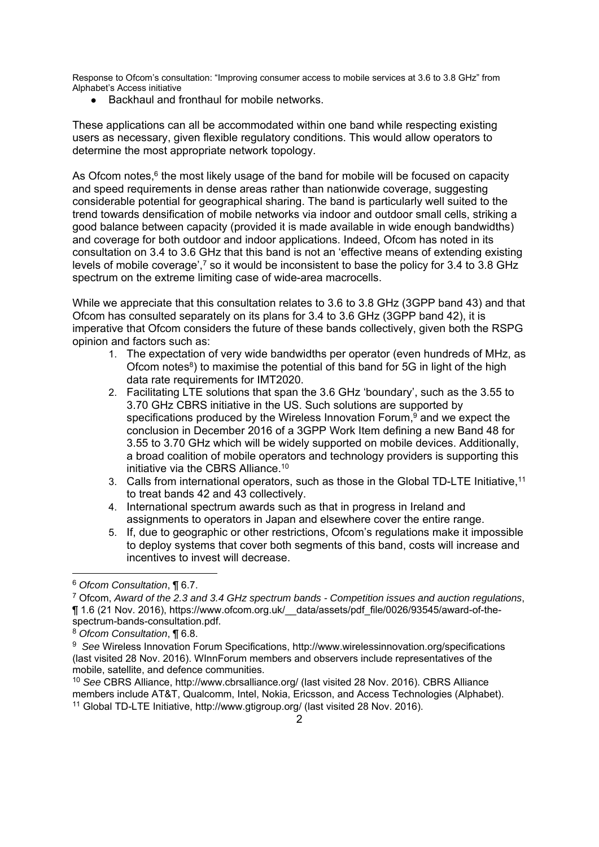Backhaul and fronthaul for mobile networks.

These applications can all be accommodated within one band while respecting existing users as necessary, given flexible regulatory conditions. This would allow operators to determine the most appropriate network topology.

As Ofcom notes,<sup>6</sup> the most likely usage of the band for mobile will be focused on capacity and speed requirements in dense areas rather than nationwide coverage, suggesting considerable potential for geographical sharing. The band is particularly well suited to the trend towards densification of mobile networks via indoor and outdoor small cells, striking a good balance between capacity (provided it is made available in wide enough bandwidths) and coverage for both outdoor and indoor applications. Indeed, Ofcom has noted in its consultation on 3.4 to 3.6 GHz that this band is not an 'effective means of extending existing levels of mobile coverage',<sup>7</sup> so it would be inconsistent to base the policy for 3.4 to 3.8 GHz spectrum on the extreme limiting case of wide-area macrocells.

While we appreciate that this consultation relates to 3.6 to 3.8 GHz (3GPP band 43) and that Ofcom has consulted separately on its plans for 3.4 to 3.6 GHz (3GPP band 42), it is imperative that Ofcom considers the future of these bands collectively, given both the RSPG opinion and factors such as:

- 1. The expectation of very wide bandwidths per operator (even hundreds of MHz, as Ofcom notes<sup>8</sup>) to maximise the potential of this band for 5G in light of the high data rate requirements for IMT2020.
- 2. Facilitating LTE solutions that span the 3.6 GHz 'boundary', such as the 3.55 to 3.70 GHz CBRS initiative in the US. Such solutions are supported by specifications produced by the Wireless Innovation Forum,<sup>9</sup> and we expect the conclusion in December 2016 of a 3GPP Work Item defining a new Band 48 for 3.55 to 3.70 GHz which will be widely supported on mobile devices. Additionally, a broad coalition of mobile operators and technology providers is supporting this initiative via the CBRS Alliance.<sup>10</sup>
- 3. Calls from international operators, such as those in the Global TD-LTE Initiative,11 to treat bands 42 and 43 collectively.
- 4. International spectrum awards such as that in progress in Ireland and assignments to operators in Japan and elsewhere cover the entire range.
- 5. If, due to geographic or other restrictions, Ofcom's regulations make it impossible to deploy systems that cover both segments of this band, costs will increase and incentives to invest will decrease.

1

<sup>6</sup> *Ofcom Consultation*, ¶ 6.7.

<sup>7</sup> Ofcom, *Award of the 2.3 and 3.4 GHz spectrum bands - Competition issues and auction regulations*, ¶ 1.6 (21 Nov. 2016), https://www.ofcom.org.uk/\_\_data/assets/pdf\_file/0026/93545/award-of-thespectrum-bands-consultation.pdf.

<sup>8</sup> *Ofcom Consultation*, ¶ 6.8.

<sup>&</sup>lt;sup>9</sup> See Wireless Innovation Forum Specifications, http://www.wirelessinnovation.org/specifications (last visited 28 Nov. 2016). WInnForum members and observers include representatives of the mobile, satellite, and defence communities.

<sup>10</sup> *See* CBRS Alliance, http://www.cbrsalliance.org/ (last visited 28 Nov. 2016). CBRS Alliance members include AT&T, Qualcomm, Intel, Nokia, Ericsson, and Access Technologies (Alphabet). 11 Global TD-LTE Initiative, http://www.gtigroup.org/ (last visited 28 Nov. 2016).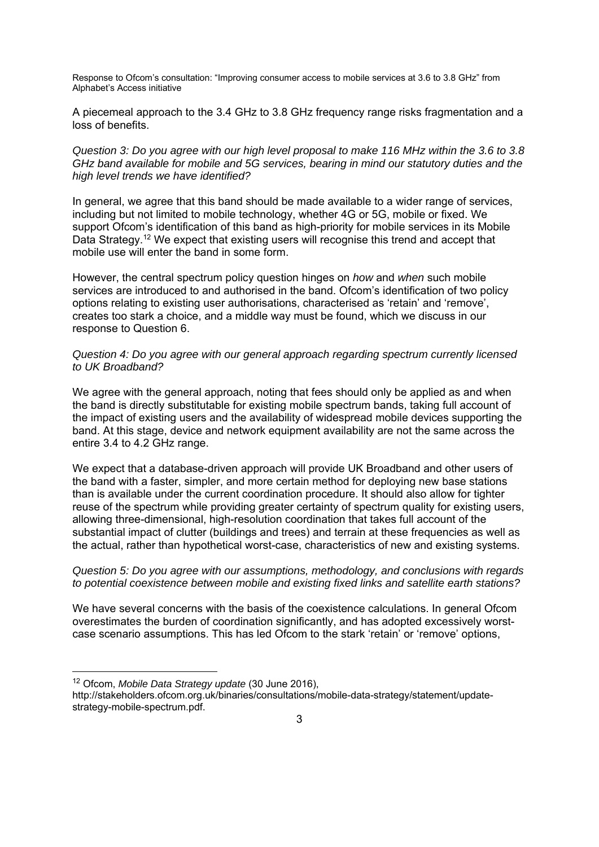A piecemeal approach to the 3.4 GHz to 3.8 GHz frequency range risks fragmentation and a loss of benefits.

*Question 3: Do you agree with our high level proposal to make 116 MHz within the 3.6 to 3.8 GHz band available for mobile and 5G services, bearing in mind our statutory duties and the high level trends we have identified?*

In general, we agree that this band should be made available to a wider range of services, including but not limited to mobile technology, whether 4G or 5G, mobile or fixed. We support Ofcom's identification of this band as high-priority for mobile services in its Mobile Data Strategy.<sup>12</sup> We expect that existing users will recognise this trend and accept that mobile use will enter the band in some form.

However, the central spectrum policy question hinges on *how* and *when* such mobile services are introduced to and authorised in the band. Ofcom's identification of two policy options relating to existing user authorisations, characterised as 'retain' and 'remove', creates too stark a choice, and a middle way must be found, which we discuss in our response to Question 6.

#### *Question 4: Do you agree with our general approach regarding spectrum currently licensed to UK Broadband?*

We agree with the general approach, noting that fees should only be applied as and when the band is directly substitutable for existing mobile spectrum bands, taking full account of the impact of existing users and the availability of widespread mobile devices supporting the band. At this stage, device and network equipment availability are not the same across the entire 3.4 to 4.2 GHz range.

We expect that a database-driven approach will provide UK Broadband and other users of the band with a faster, simpler, and more certain method for deploying new base stations than is available under the current coordination procedure. It should also allow for tighter reuse of the spectrum while providing greater certainty of spectrum quality for existing users, allowing three-dimensional, high-resolution coordination that takes full account of the substantial impact of clutter (buildings and trees) and terrain at these frequencies as well as the actual, rather than hypothetical worst-case, characteristics of new and existing systems.

#### *Question 5: Do you agree with our assumptions, methodology, and conclusions with regards to potential coexistence between mobile and existing fixed links and satellite earth stations?*

We have several concerns with the basis of the coexistence calculations. In general Ofcom overestimates the burden of coordination significantly, and has adopted excessively worstcase scenario assumptions. This has led Ofcom to the stark 'retain' or 'remove' options,

-

<sup>12</sup> Ofcom, *Mobile Data Strategy update* (30 June 2016),

http://stakeholders.ofcom.org.uk/binaries/consultations/mobile-data-strategy/statement/updatestrategy-mobile-spectrum.pdf.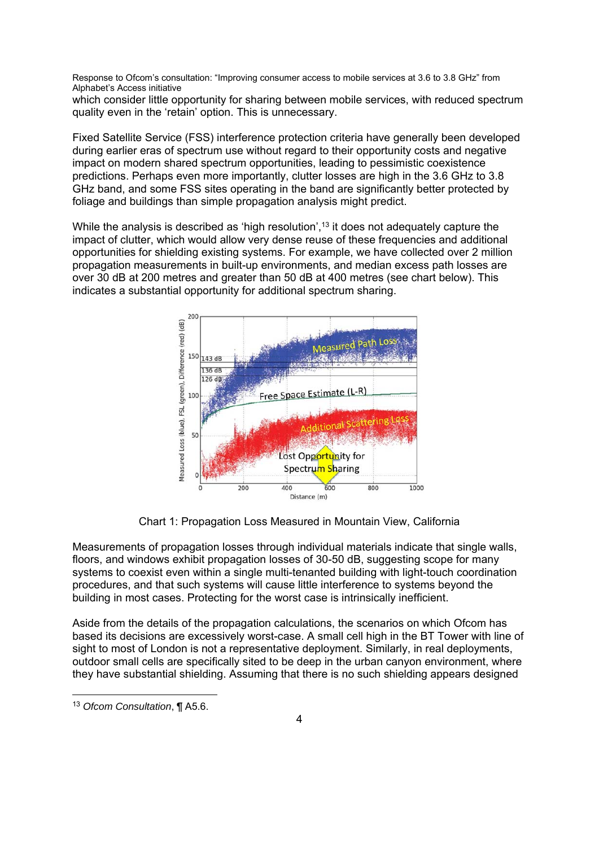which consider little opportunity for sharing between mobile services, with reduced spectrum quality even in the 'retain' option. This is unnecessary.

Fixed Satellite Service (FSS) interference protection criteria have generally been developed during earlier eras of spectrum use without regard to their opportunity costs and negative impact on modern shared spectrum opportunities, leading to pessimistic coexistence predictions. Perhaps even more importantly, clutter losses are high in the 3.6 GHz to 3.8 GHz band, and some FSS sites operating in the band are significantly better protected by foliage and buildings than simple propagation analysis might predict.

While the analysis is described as 'high resolution',<sup>13</sup> it does not adequately capture the impact of clutter, which would allow very dense reuse of these frequencies and additional opportunities for shielding existing systems. For example, we have collected over 2 million propagation measurements in built-up environments, and median excess path losses are over 30 dB at 200 metres and greater than 50 dB at 400 metres (see chart below). This indicates a substantial opportunity for additional spectrum sharing.



Chart 1: Propagation Loss Measured in Mountain View, California

Measurements of propagation losses through individual materials indicate that single walls, floors, and windows exhibit propagation losses of 30-50 dB, suggesting scope for many systems to coexist even within a single multi-tenanted building with light-touch coordination procedures, and that such systems will cause little interference to systems beyond the building in most cases. Protecting for the worst case is intrinsically inefficient.

Aside from the details of the propagation calculations, the scenarios on which Ofcom has based its decisions are excessively worst-case. A small cell high in the BT Tower with line of sight to most of London is not a representative deployment. Similarly, in real deployments, outdoor small cells are specifically sited to be deep in the urban canyon environment, where they have substantial shielding. Assuming that there is no such shielding appears designed

1

<sup>13</sup> *Ofcom Consultation*, ¶ A5.6.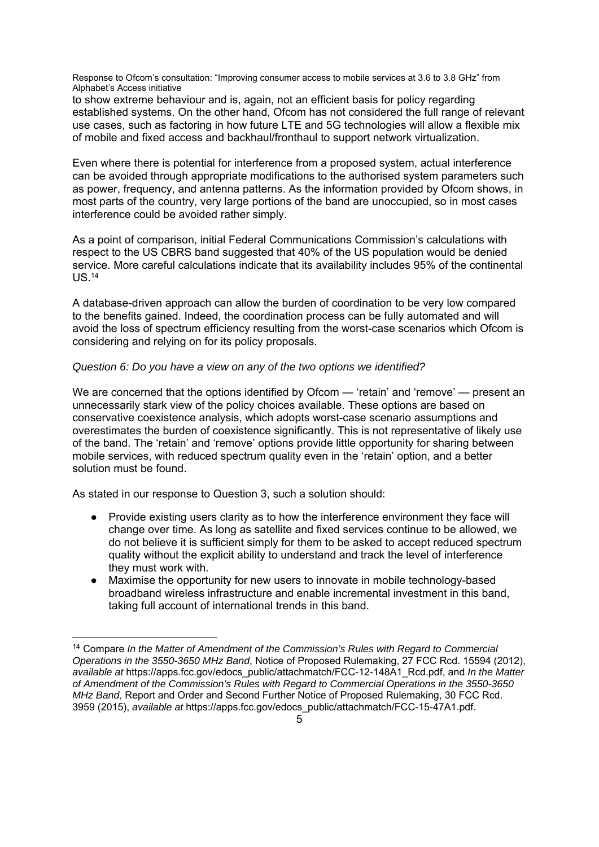to show extreme behaviour and is, again, not an efficient basis for policy regarding established systems. On the other hand, Ofcom has not considered the full range of relevant use cases, such as factoring in how future LTE and 5G technologies will allow a flexible mix of mobile and fixed access and backhaul/fronthaul to support network virtualization.

Even where there is potential for interference from a proposed system, actual interference can be avoided through appropriate modifications to the authorised system parameters such as power, frequency, and antenna patterns. As the information provided by Ofcom shows, in most parts of the country, very large portions of the band are unoccupied, so in most cases interference could be avoided rather simply.

As a point of comparison, initial Federal Communications Commission's calculations with respect to the US CBRS band suggested that 40% of the US population would be denied service. More careful calculations indicate that its availability includes 95% of the continental US.14

A database-driven approach can allow the burden of coordination to be very low compared to the benefits gained. Indeed, the coordination process can be fully automated and will avoid the loss of spectrum efficiency resulting from the worst-case scenarios which Ofcom is considering and relying on for its policy proposals.

#### *Question 6: Do you have a view on any of the two options we identified?*

We are concerned that the options identified by Ofcom — 'retain' and 'remove' — present an unnecessarily stark view of the policy choices available. These options are based on conservative coexistence analysis, which adopts worst-case scenario assumptions and overestimates the burden of coexistence significantly. This is not representative of likely use of the band. The 'retain' and 'remove' options provide little opportunity for sharing between mobile services, with reduced spectrum quality even in the 'retain' option, and a better solution must be found.

As stated in our response to Question 3, such a solution should:

-

- Provide existing users clarity as to how the interference environment they face will change over time. As long as satellite and fixed services continue to be allowed, we do not believe it is sufficient simply for them to be asked to accept reduced spectrum quality without the explicit ability to understand and track the level of interference they must work with.
- Maximise the opportunity for new users to innovate in mobile technology-based broadband wireless infrastructure and enable incremental investment in this band, taking full account of international trends in this band.

<sup>14</sup> Compare *In the Matter of Amendment of the Commission's Rules with Regard to Commercial Operations in the 3550-3650 MHz Band*, Notice of Proposed Rulemaking, 27 FCC Rcd. 15594 (2012), *available at* https://apps.fcc.gov/edocs\_public/attachmatch/FCC-12-148A1\_Rcd.pdf, and *In the Matter of Amendment of the Commission's Rules with Regard to Commercial Operations in the 3550-3650 MHz Band*, Report and Order and Second Further Notice of Proposed Rulemaking, 30 FCC Rcd. 3959 (2015), *available at* https://apps.fcc.gov/edocs\_public/attachmatch/FCC-15-47A1.pdf.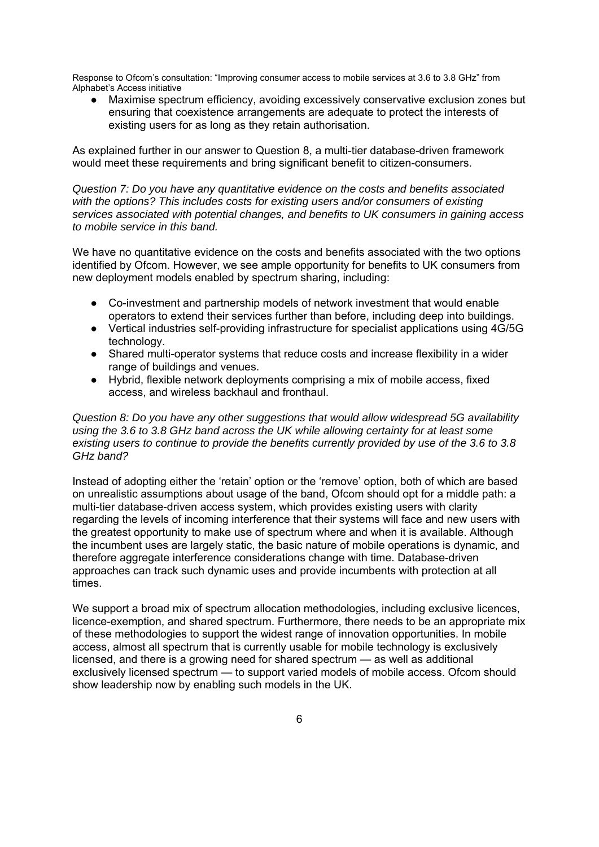Maximise spectrum efficiency, avoiding excessively conservative exclusion zones but ensuring that coexistence arrangements are adequate to protect the interests of existing users for as long as they retain authorisation.

As explained further in our answer to Question 8, a multi-tier database-driven framework would meet these requirements and bring significant benefit to citizen-consumers.

*Question 7: Do you have any quantitative evidence on the costs and benefits associated with the options? This includes costs for existing users and/or consumers of existing services associated with potential changes, and benefits to UK consumers in gaining access to mobile service in this band.*

We have no quantitative evidence on the costs and benefits associated with the two options identified by Ofcom. However, we see ample opportunity for benefits to UK consumers from new deployment models enabled by spectrum sharing, including:

- Co-investment and partnership models of network investment that would enable operators to extend their services further than before, including deep into buildings.
- Vertical industries self-providing infrastructure for specialist applications using 4G/5G technology.
- Shared multi-operator systems that reduce costs and increase flexibility in a wider range of buildings and venues.
- Hybrid, flexible network deployments comprising a mix of mobile access, fixed access, and wireless backhaul and fronthaul.

*Question 8: Do you have any other suggestions that would allow widespread 5G availability using the 3.6 to 3.8 GHz band across the UK while allowing certainty for at least some existing users to continue to provide the benefits currently provided by use of the 3.6 to 3.8 GHz band?*

Instead of adopting either the 'retain' option or the 'remove' option, both of which are based on unrealistic assumptions about usage of the band, Ofcom should opt for a middle path: a multi-tier database-driven access system, which provides existing users with clarity regarding the levels of incoming interference that their systems will face and new users with the greatest opportunity to make use of spectrum where and when it is available. Although the incumbent uses are largely static, the basic nature of mobile operations is dynamic, and therefore aggregate interference considerations change with time. Database-driven approaches can track such dynamic uses and provide incumbents with protection at all times.

We support a broad mix of spectrum allocation methodologies, including exclusive licences, licence-exemption, and shared spectrum. Furthermore, there needs to be an appropriate mix of these methodologies to support the widest range of innovation opportunities. In mobile access, almost all spectrum that is currently usable for mobile technology is exclusively licensed, and there is a growing need for shared spectrum — as well as additional exclusively licensed spectrum — to support varied models of mobile access. Ofcom should show leadership now by enabling such models in the UK.